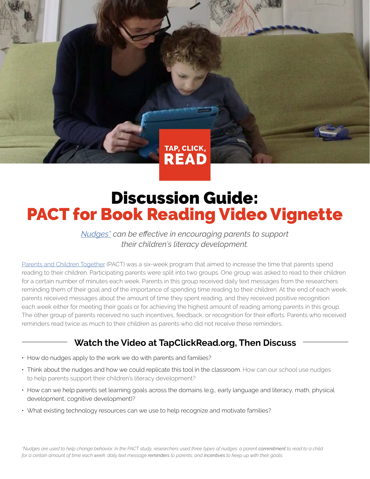

# Discussion Guide: PACT for Book Reading Video Vignette

*[Nudges\\*](https://en.wikipedia.org/wiki/Nudge_theory) can be effective in encouraging parents to support their children's literacy development.*

[Parents and Children Together](https://vimeo.com/130580077) (PACT) was a six-week program that aimed to increase the time that parents spend reading to their children. Participating parents were split into two groups. One group was asked to read to their children for a certain number of minutes each week. Parents in this group received daily text messages from the researchers reminding them of their goal and of the importance of spending time reading to their children. At the end of each week, parents received messages about the amount of time they spent reading, and they received positive recognition each week either for meeting their goals or for achieving the highest amount of reading among parents in this group. The other group of parents received no such incentives, feedback, or recognition for their efforts. Parents who received reminders read twice as much to their children as parents who did not receive these reminders.

## **Watch the Video at TapClickRead.org, Then Discuss**

- How do nudges apply to the work we do with parents and families?
- Think about the nudges and how we could replicate this tool in the classroom. How can our school use nudges to help parents support their children's literacy development?
- How can we help parents set learning goals across the domains (e.g., early language and literacy, math, physical development, cognitive development)?
- What existing technology resources can we use to help recognize and motivate families?